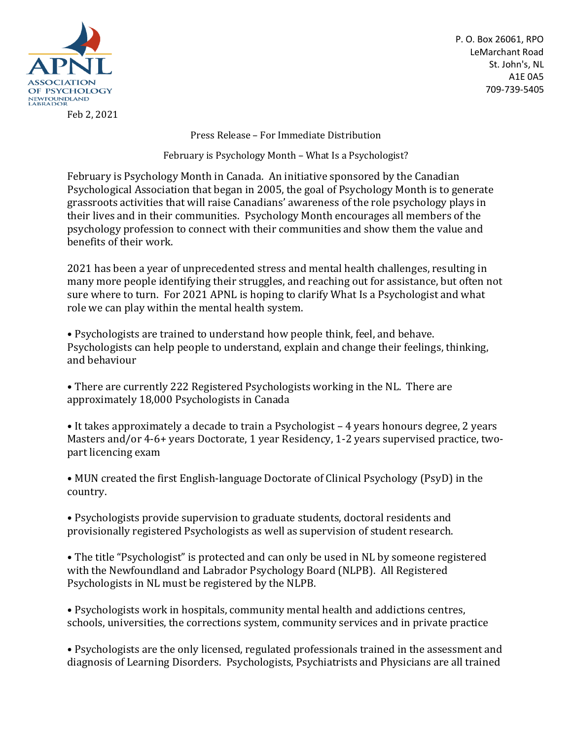

Feb 2, 2021

P. O. Box 26061, RPO LeMarchant Road St. John's, NL A1E 0A5 709-739-5405

Press Release – For Immediate Distribution

February is Psychology Month – What Is a Psychologist?

February is Psychology Month in Canada. An initiative sponsored by the Canadian Psychological Association that began in 2005, the goal of Psychology Month is to generate grassroots activities that will raise Canadians' awareness of the role psychology plays in their lives and in their communities. Psychology Month encourages all members of the psychology profession to connect with their communities and show them the value and benefits of their work.

2021 has been a year of unprecedented stress and mental health challenges, resulting in many more people identifying their struggles, and reaching out for assistance, but often not sure where to turn. For 2021 APNL is hoping to clarify What Is a Psychologist and what role we can play within the mental health system.

• Psychologists are trained to understand how people think, feel, and behave. Psychologists can help people to understand, explain and change their feelings, thinking, and behaviour

• There are currently 222 Registered Psychologists working in the NL. There are approximately 18,000 Psychologists in Canada

• It takes approximately a decade to train a Psychologist – 4 years honours degree, 2 years Masters and/or 4-6+ years Doctorate, 1 year Residency, 1-2 years supervised practice, twopart licencing exam

• MUN created the first English-language Doctorate of Clinical Psychology (PsyD) in the country.

• Psychologists provide supervision to graduate students, doctoral residents and provisionally registered Psychologists as well as supervision of student research.

• The title "Psychologist" is protected and can only be used in NL by someone registered with the Newfoundland and Labrador Psychology Board (NLPB). All Registered Psychologists in NL must be registered by the NLPB.

• Psychologists work in hospitals, community mental health and addictions centres, schools, universities, the corrections system, community services and in private practice

• Psychologists are the only licensed, regulated professionals trained in the assessment and diagnosis of Learning Disorders. Psychologists, Psychiatrists and Physicians are all trained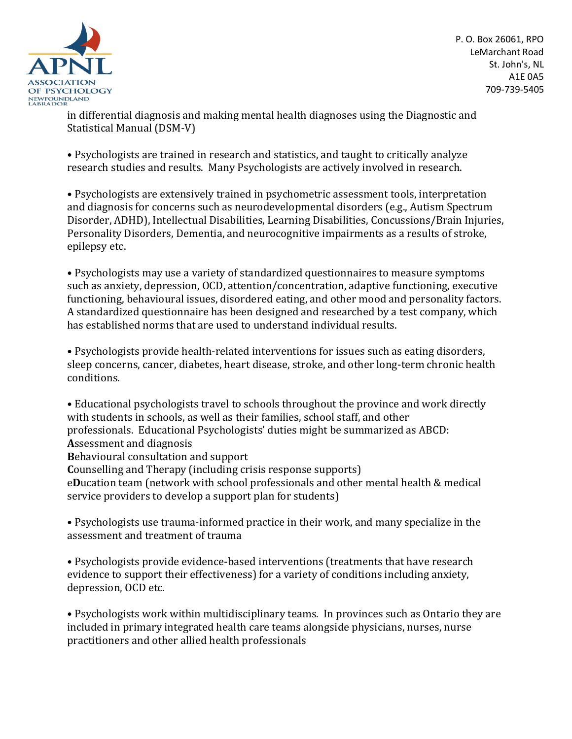

P. O. Box 26061, RPO LeMarchant Road St. John's, NL A1E 0A5 709-739-5405

in differential diagnosis and making mental health diagnoses using the Diagnostic and Statistical Manual (DSM-V)

• Psychologists are trained in research and statistics, and taught to critically analyze research studies and results. Many Psychologists are actively involved in research.

• Psychologists are extensively trained in psychometric assessment tools, interpretation and diagnosis for concerns such as neurodevelopmental disorders (e.g., Autism Spectrum Disorder, ADHD), Intellectual Disabilities, Learning Disabilities, Concussions/Brain Injuries, Personality Disorders, Dementia, and neurocognitive impairments as a results of stroke, epilepsy etc.

• Psychologists may use a variety of standardized questionnaires to measure symptoms such as anxiety, depression, OCD, attention/concentration, adaptive functioning, executive functioning, behavioural issues, disordered eating, and other mood and personality factors. A standardized questionnaire has been designed and researched by a test company, which has established norms that are used to understand individual results.

• Psychologists provide health-related interventions for issues such as eating disorders, sleep concerns, cancer, diabetes, heart disease, stroke, and other long-term chronic health conditions.

• Educational psychologists travel to schools throughout the province and work directly with students in schools, as well as their families, school staff, and other professionals. Educational Psychologists' duties might be summarized as ABCD: **A**ssessment and diagnosis

**B**ehavioural consultation and support

**C**ounselling and Therapy (including crisis response supports)

e**D**ucation team (network with school professionals and other mental health & medical service providers to develop a support plan for students)

• Psychologists use trauma-informed practice in their work, and many specialize in the assessment and treatment of trauma

• Psychologists provide evidence-based interventions (treatments that have research evidence to support their effectiveness) for a variety of conditions including anxiety, depression, OCD etc.

• Psychologists work within multidisciplinary teams. In provinces such as Ontario they are included in primary integrated health care teams alongside physicians, nurses, nurse practitioners and other allied health professionals